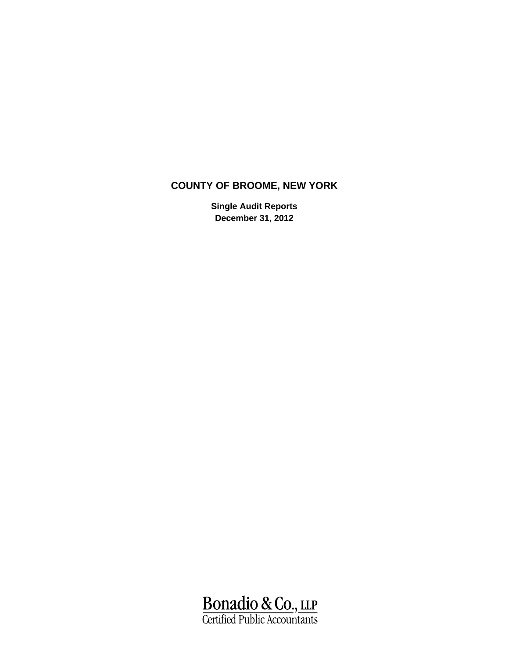**Single Audit Reports December 31, 2012**

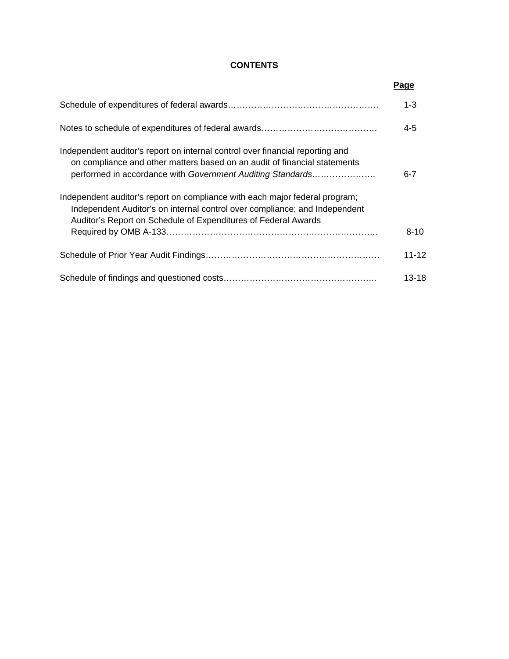## **CONTENTS**

|                                                                                                                                                                                                                             | Page      |
|-----------------------------------------------------------------------------------------------------------------------------------------------------------------------------------------------------------------------------|-----------|
|                                                                                                                                                                                                                             | $1 - 3$   |
|                                                                                                                                                                                                                             | $4 - 5$   |
| Independent auditor's report on internal control over financial reporting and<br>on compliance and other matters based on an audit of financial statements<br>performed in accordance with Government Auditing Standards    | $6 - 7$   |
| Independent auditor's report on compliance with each major federal program;<br>Independent Auditor's on internal control over compliance; and Independent<br>Auditor's Report on Schedule of Expenditures of Federal Awards |           |
|                                                                                                                                                                                                                             | $8 - 10$  |
|                                                                                                                                                                                                                             | $11 - 12$ |
|                                                                                                                                                                                                                             | 13-18     |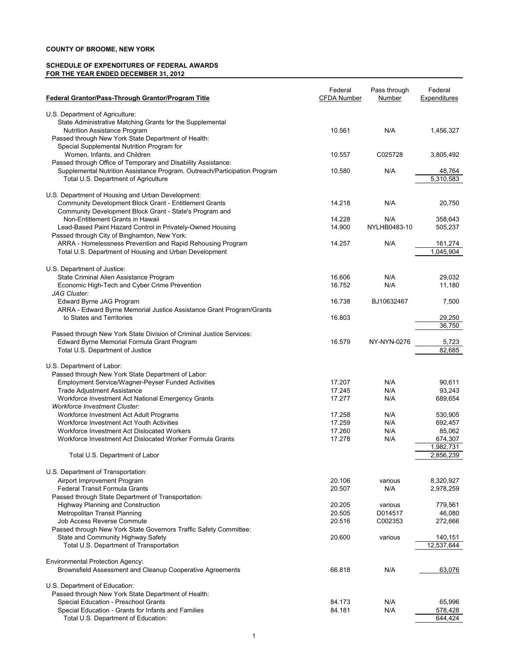#### **SCHEDULE OF EXPENDITURES OF FEDERAL AWARDS FOR THE YEAR ENDED DECEMBER 31, 2012**

| Federal Grantor/Pass-Through Grantor/Program Title                                                                  | Federal<br>CFDA Number | Pass through<br>Number | Federal<br>Expenditures |
|---------------------------------------------------------------------------------------------------------------------|------------------------|------------------------|-------------------------|
| U.S. Department of Agriculture:                                                                                     |                        |                        |                         |
| State Administrative Matching Grants for the Supplemental                                                           |                        |                        |                         |
| <b>Nutrition Assistance Program</b><br>Passed through New York State Department of Health:                          | 10.561                 | N/A                    | 1,456,327               |
| Special Supplemental Nutrition Program for                                                                          |                        |                        |                         |
| Women, Infants, and Children                                                                                        | 10.557                 | C025728                | 3,805,492               |
| Passed through Office of Temporary and Disability Assistance:                                                       |                        |                        |                         |
| Supplemental Nutrition Assistance Program, Outreach/Participation Program<br>Total U.S. Department of Agriculture   | 10.580                 | N/A                    | 48,764<br>5,310,583     |
| U.S. Department of Housing and Urban Development:                                                                   |                        |                        |                         |
| Community Development Block Grant - Entitlement Grants                                                              | 14.218                 | N/A                    | 20,750                  |
| Community Development Block Grant - State's Program and                                                             |                        |                        |                         |
| Non-Entitlement Grants in Hawaii<br>Lead-Based Paint Hazard Control in Privately-Owned Housing                      | 14.228<br>14.900       | N/A<br>NYLHB0483-10    | 358,643<br>505,237      |
| Passed through City of Binghamton, New York:                                                                        |                        |                        |                         |
| ARRA - Homelessness Prevention and Rapid Rehousing Program                                                          | 14.257                 | N/A                    | 161,274                 |
| Total U.S. Department of Housing and Urban Development                                                              |                        |                        | 1,045,904               |
| U.S. Department of Justice:                                                                                         |                        |                        |                         |
| State Criminal Alien Assistance Program                                                                             | 16.606                 | N/A                    | 29,032                  |
| Economic High-Tech and Cyber Crime Prevention                                                                       | 16.752                 | N/A                    | 11,180                  |
| <b>JAG Cluster:</b><br>Edward Byrne JAG Program                                                                     | 16.738                 | BJ10632467             | 7,500                   |
| ARRA - Edward Byrne Memorial Justice Assistance Grant Program/Grants                                                |                        |                        |                         |
| to States and Territories                                                                                           | 16.803                 |                        | 29,250                  |
|                                                                                                                     |                        |                        | 36,750                  |
| Passed through New York State Division of Criminal Justice Services:<br>Edward Byrne Memorial Formula Grant Program | 16.579                 | NY-NYN-0276            | 5,723                   |
| Total U.S. Department of Justice                                                                                    |                        |                        | 82,685                  |
|                                                                                                                     |                        |                        |                         |
| U.S. Department of Labor:<br>Passed through New York State Department of Labor:                                     |                        |                        |                         |
| Employment Service/Wagner-Peyser Funded Activities                                                                  | 17.207                 | N/A                    | 90,611                  |
| <b>Trade Adjustment Assistance</b>                                                                                  | 17.245                 | N/A                    | 93,243                  |
| Workforce Investment Act National Emergency Grants                                                                  | 17.277                 | N/A                    | 689,654                 |
| <b>Workforce Investment Cluster:</b><br>Workforce Investment Act Adult Programs                                     | 17.258                 | N/A                    | 530,905                 |
| Workforce Investment Act Youth Activities                                                                           | 17.259                 | N/A                    | 692,457                 |
| Workforce Investment Act Dislocated Workers                                                                         | 17.260                 | N/A                    | 85,062                  |
| Workforce Investment Act Dislocated Worker Formula Grants                                                           | 17.278                 | N/A                    | 674,307                 |
|                                                                                                                     |                        |                        | 1,982,731               |
| Total U.S. Department of Labor                                                                                      |                        |                        | 2,856,239               |
| U.S. Department of Transportation:                                                                                  |                        |                        |                         |
| Airport Improvement Program                                                                                         | 20.106                 | various                | 8,320,927               |
| <b>Federal Transit Formula Grants</b>                                                                               | 20.507                 | N/A                    | 2,978,259               |
| Passed through State Department of Transportation:                                                                  | 20.205                 | various                |                         |
| <b>Highway Planning and Construction</b><br>Metropolitan Transit Planning                                           | 20.505                 | D014517                | 779,561<br>46,080       |
| Job Access Reverse Commute                                                                                          | 20.516                 | C002353                | 272,666                 |
| Passed through New York State Governors Traffic Safety Committee:                                                   |                        |                        |                         |
| State and Community Highway Safety                                                                                  | 20.600                 | various                | 140,151                 |
| Total U.S. Department of Transportation                                                                             |                        |                        | 12,537,644              |
| <b>Environmental Protection Agency:</b>                                                                             |                        |                        |                         |
| Brownsfield Assessment and Cleanup Cooperative Agreements                                                           | 66.818                 | N/A                    | 63,076                  |
| U.S. Department of Education:                                                                                       |                        |                        |                         |
| Passed through New York State Department of Health:                                                                 |                        |                        |                         |
| Special Education - Preschool Grants                                                                                | 84.173                 | N/A                    | 65,996                  |
| Special Education - Grants for Infants and Families                                                                 | 84.181                 | N/A                    | 578,428                 |
| Total U.S. Department of Education:                                                                                 |                        |                        | 644,424                 |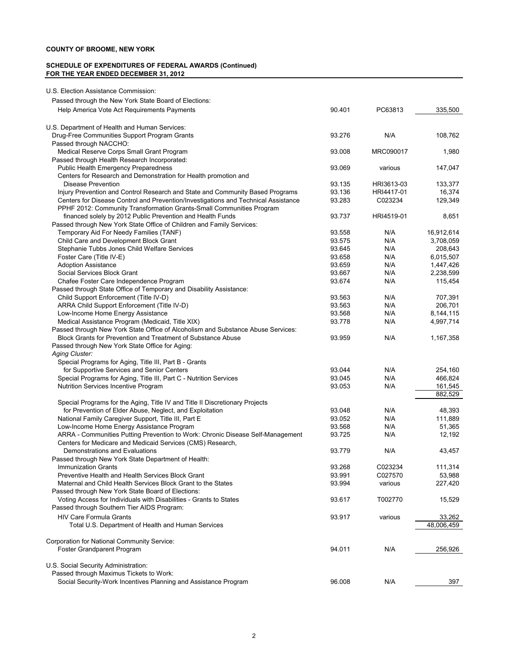#### **SCHEDULE OF EXPENDITURES OF FEDERAL AWARDS (Continued) FOR THE YEAR ENDED DECEMBER 31, 2012**

| U.S. Election Assistance Commission:                                               |        |            |                    |
|------------------------------------------------------------------------------------|--------|------------|--------------------|
| Passed through the New York State Board of Elections:                              |        |            |                    |
| Help America Vote Act Requirements Payments                                        | 90.401 | PC63813    | 335,500            |
| U.S. Department of Health and Human Services:                                      |        |            |                    |
| Drug-Free Communities Support Program Grants                                       | 93.276 | N/A        | 108,762            |
| Passed through NACCHO:                                                             |        |            |                    |
| Medical Reserve Corps Small Grant Program                                          | 93.008 | MRC090017  | 1,980              |
| Passed through Health Research Incorporated:                                       |        |            |                    |
| Public Health Emergency Preparedness                                               | 93.069 | various    | 147,047            |
| Centers for Research and Demonstration for Health promotion and                    |        |            |                    |
| Disease Prevention                                                                 | 93.135 | HRI3613-03 | 133,377            |
| Injury Prevention and Control Research and State and Community Based Programs      | 93.136 | HRI4417-01 | 16,374             |
| Centers for Disease Control and Prevention/Investigations and Technical Assistance | 93.283 | C023234    | 129,349            |
| PPHF 2012: Community Transformation Grants-Small Communities Program               |        |            |                    |
| financed solely by 2012 Public Prevention and Health Funds                         | 93.737 | HRI4519-01 | 8,651              |
| Passed through New York State Office of Children and Family Services:              |        |            |                    |
| Temporary Aid For Needy Families (TANF)                                            | 93.558 | N/A        | 16,912,614         |
| Child Care and Development Block Grant                                             | 93.575 | N/A        | 3,708,059          |
| Stephanie Tubbs Jones Child Welfare Services                                       | 93.645 | N/A        | 208,643            |
| Foster Care (Title IV-E)                                                           | 93.658 | N/A        | 6,015,507          |
| <b>Adoption Assistance</b>                                                         | 93.659 | N/A        | 1,447,426          |
| Social Services Block Grant                                                        | 93.667 | N/A        | 2,238,599          |
| Chafee Foster Care Independence Program                                            | 93.674 | N/A        | 115,454            |
| Passed through State Office of Temporary and Disability Assistance:                |        |            |                    |
| Child Support Enforcement (Title IV-D)                                             | 93.563 | N/A        | 707,391            |
| ARRA Child Support Enforcement (Title IV-D)                                        | 93.563 | N/A        | 206,701            |
| Low-Income Home Energy Assistance                                                  | 93.568 | N/A        | 8,144,115          |
| Medical Assistance Program (Medicaid, Title XIX)                                   | 93.778 | N/A        | 4,997,714          |
| Passed through New York State Office of Alcoholism and Substance Abuse Services:   |        |            |                    |
| Block Grants for Prevention and Treatment of Substance Abuse                       | 93.959 | N/A        | 1,167,358          |
| Passed through New York State Office for Aging:                                    |        |            |                    |
| Aging Cluster:                                                                     |        |            |                    |
| Special Programs for Aging, Title III, Part B - Grants                             |        |            |                    |
| for Supportive Services and Senior Centers                                         | 93.044 | N/A        | 254,160            |
| Special Programs for Aging, Title III, Part C - Nutrition Services                 | 93.045 | N/A        | 466,824            |
| Nutrition Services Incentive Program                                               | 93.053 | N/A        | 161,545<br>882,529 |
| Special Programs for the Aging, Title IV and Title II Discretionary Projects       |        |            |                    |
| for Prevention of Elder Abuse, Neglect, and Exploitation                           | 93.048 | N/A        | 48,393             |
| National Family Caregiver Support, Title III, Part E                               | 93.052 | N/A        | 111,889            |
| Low-Income Home Energy Assistance Program                                          | 93.568 | N/A        | 51,365             |
| ARRA - Communities Putting Prevention to Work: Chronic Disease Self-Management     | 93.725 | N/A        | 12,192             |
| Centers for Medicare and Medicaid Services (CMS) Research,                         |        |            |                    |
| Demonstrations and Evaluations                                                     | 93.779 | N/A        | 43,457             |
| Passed through New York State Department of Health:                                |        |            |                    |
| <b>Immunization Grants</b>                                                         | 93.268 | C023234    | 111,314            |
| Preventive Health and Health Services Block Grant                                  | 93.991 | C027570    | 53,988             |
| Maternal and Child Health Services Block Grant to the States                       | 93.994 | various    | 227,420            |
| Passed through New York State Board of Elections:                                  |        |            |                    |
| Voting Access for Individuals with Disabilities - Grants to States                 | 93.617 | T002770    | 15,529             |
| Passed through Southern Tier AIDS Program:                                         |        |            |                    |
|                                                                                    |        |            |                    |
| <b>HIV Care Formula Grants</b>                                                     | 93.917 | various    | 33,262             |
| Total U.S. Department of Health and Human Services                                 |        |            | 48,006,459         |
| Corporation for National Community Service:                                        |        |            |                    |
| Foster Grandparent Program                                                         | 94.011 | N/A        | 256,926            |
|                                                                                    |        |            |                    |
| U.S. Social Security Administration:                                               |        |            |                    |
| Passed through Maximus Tickets to Work:                                            |        |            |                    |
| Social Security-Work Incentives Planning and Assistance Program                    | 96.008 | N/A        | 397                |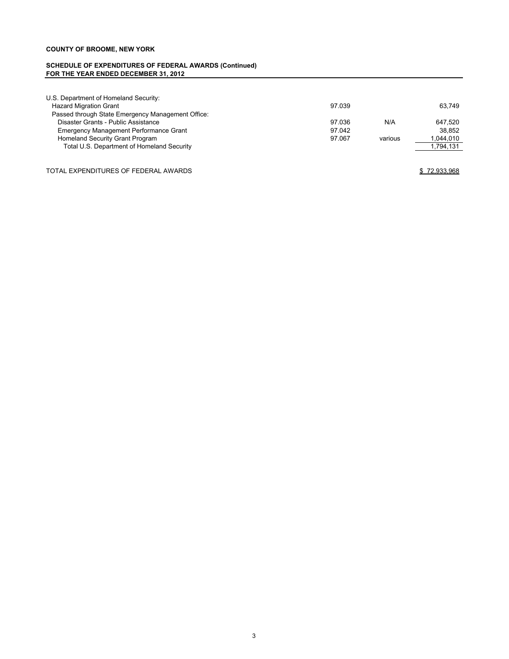#### **SCHEDULE OF EXPENDITURES OF FEDERAL AWARDS (Continued) FOR THE YEAR ENDED DECEMBER 31, 2012**

| U.S. Department of Homeland Security:             |        |         |           |
|---------------------------------------------------|--------|---------|-----------|
| <b>Hazard Migration Grant</b>                     | 97.039 |         | 63.749    |
| Passed through State Emergency Management Office: |        |         |           |
| Disaster Grants - Public Assistance               | 97.036 | N/A     | 647.520   |
| <b>Emergency Management Performance Grant</b>     | 97.042 |         | 38.852    |
| Homeland Security Grant Program                   | 97.067 | various | 1.044.010 |
| Total U.S. Department of Homeland Security        |        |         | 1,794,131 |
|                                                   |        |         |           |

TOTAL EXPENDITURES OF FEDERAL AWARDS **\$ 72,933,968**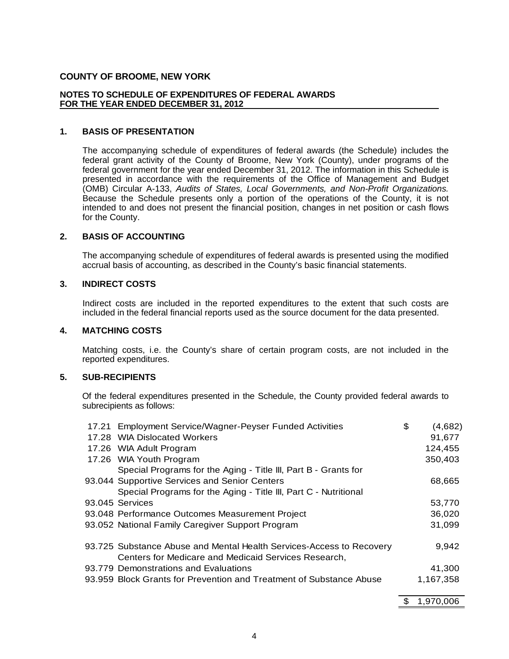#### **NOTES TO SCHEDULE OF EXPENDITURES OF FEDERAL AWARDS FOR THE YEAR ENDED DECEMBER 31, 2012**

#### **1. BASIS OF PRESENTATION**

The accompanying schedule of expenditures of federal awards (the Schedule) includes the federal grant activity of the County of Broome, New York (County), under programs of the federal government for the year ended December 31, 2012. The information in this Schedule is presented in accordance with the requirements of the Office of Management and Budget (OMB) Circular A-133, *Audits of States, Local Governments, and Non-Profit Organizations.* Because the Schedule presents only a portion of the operations of the County, it is not intended to and does not present the financial position, changes in net position or cash flows for the County.

#### **2. BASIS OF ACCOUNTING**

The accompanying schedule of expenditures of federal awards is presented using the modified accrual basis of accounting, as described in the County's basic financial statements.

#### **3. INDIRECT COSTS**

Indirect costs are included in the reported expenditures to the extent that such costs are included in the federal financial reports used as the source document for the data presented.

#### **4. MATCHING COSTS**

Matching costs, i.e. the County's share of certain program costs, are not included in the reported expenditures.

#### **5. SUB-RECIPIENTS**

Of the federal expenditures presented in the Schedule, the County provided federal awards to subrecipients as follows:

| 17.21 Employment Service/Wagner-Peyser Funded Activities                                                                     | \$<br>(4,682) |
|------------------------------------------------------------------------------------------------------------------------------|---------------|
| 17.28 WIA Dislocated Workers                                                                                                 | 91,677        |
| 17.26 WIA Adult Program                                                                                                      | 124,455       |
| 17.26 WIA Youth Program                                                                                                      | 350,403       |
| Special Programs for the Aging - Title III, Part B - Grants for                                                              |               |
| 93.044 Supportive Services and Senior Centers                                                                                | 68,665        |
| Special Programs for the Aging - Title III, Part C - Nutritional                                                             |               |
| 93.045 Services                                                                                                              | 53,770        |
| 93.048 Performance Outcomes Measurement Project                                                                              | 36,020        |
| 93.052 National Family Caregiver Support Program                                                                             | 31,099        |
| 93.725 Substance Abuse and Mental Health Services-Access to Recovery<br>Centers for Medicare and Medicaid Services Research, | 9,942         |
| 93.779 Demonstrations and Evaluations                                                                                        | 41,300        |
| 93.959 Block Grants for Prevention and Treatment of Substance Abuse                                                          | 1,167,358     |
|                                                                                                                              |               |

\$ 1,970,006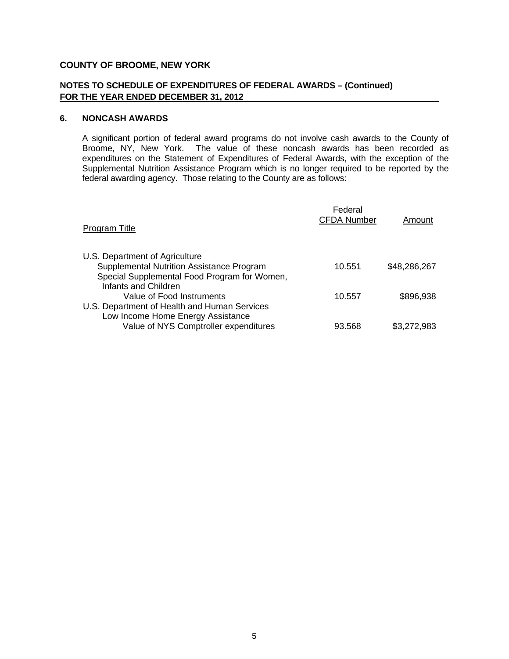## **NOTES TO SCHEDULE OF EXPENDITURES OF FEDERAL AWARDS – (Continued) FOR THE YEAR ENDED DECEMBER 31, 2012**

#### **6. NONCASH AWARDS**

A significant portion of federal award programs do not involve cash awards to the County of Broome, NY, New York. The value of these noncash awards has been recorded as expenditures on the Statement of Expenditures of Federal Awards, with the exception of the Supplemental Nutrition Assistance Program which is no longer required to be reported by the federal awarding agency. Those relating to the County are as follows:

| Program Title                                                                                                               | Federal<br><b>CFDA Number</b> | Amount       |
|-----------------------------------------------------------------------------------------------------------------------------|-------------------------------|--------------|
| U.S. Department of Agriculture<br>Supplemental Nutrition Assistance Program<br>Special Supplemental Food Program for Women, | 10.551                        | \$48,286,267 |
| <b>Infants and Children</b><br>Value of Food Instruments<br>U.S. Department of Health and Human Services                    | 10.557                        | \$896,938    |
| Low Income Home Energy Assistance<br>Value of NYS Comptroller expenditures                                                  | 93.568                        | \$3.272.983  |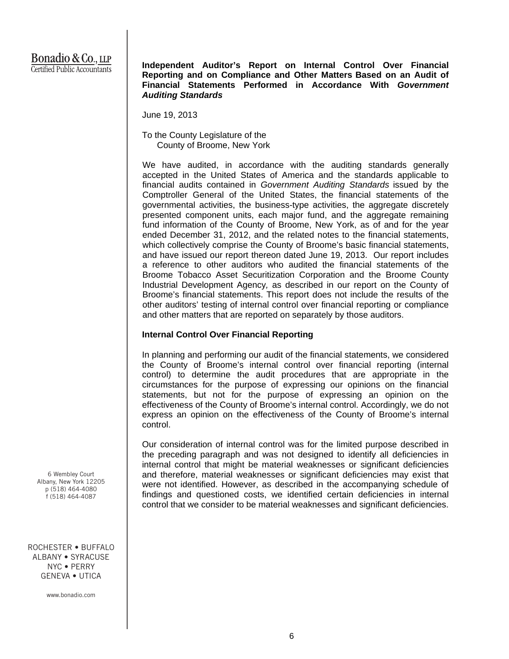Bonadio & Co., LLP Certified Public Accountants

**Independent Auditor's Report on Internal Control Over Financial Reporting and on Compliance and Other Matters Based on an Audit of Financial Statements Performed in Accordance With** *Government Auditing Standards* 

June 19, 2013

To the County Legislature of the County of Broome, New York

We have audited, in accordance with the auditing standards generally accepted in the United States of America and the standards applicable to financial audits contained in *Government Auditing Standards* issued by the Comptroller General of the United States, the financial statements of the governmental activities, the business-type activities, the aggregate discretely presented component units, each major fund, and the aggregate remaining fund information of the County of Broome, New York, as of and for the year ended December 31, 2012, and the related notes to the financial statements, which collectively comprise the County of Broome's basic financial statements, and have issued our report thereon dated June 19, 2013. Our report includes a reference to other auditors who audited the financial statements of the Broome Tobacco Asset Securitization Corporation and the Broome County Industrial Development Agency*,* as described in our report on the County of Broome's financial statements. This report does not include the results of the other auditors' testing of internal control over financial reporting or compliance and other matters that are reported on separately by those auditors.

#### **Internal Control Over Financial Reporting**

In planning and performing our audit of the financial statements, we considered the County of Broome's internal control over financial reporting (internal control) to determine the audit procedures that are appropriate in the circumstances for the purpose of expressing our opinions on the financial statements, but not for the purpose of expressing an opinion on the effectiveness of the County of Broome's internal control. Accordingly, we do not express an opinion on the effectiveness of the County of Broome's internal control.

Our consideration of internal control was for the limited purpose described in the preceding paragraph and was not designed to identify all deficiencies in internal control that might be material weaknesses or significant deficiencies and therefore, material weaknesses or significant deficiencies may exist that were not identified. However, as described in the accompanying schedule of findings and questioned costs, we identified certain deficiencies in internal control that we consider to be material weaknesses and significant deficiencies.

6 Wembley Court Albany, New York 12205 p (518) 464-4080 f (518) 464-4087

ROCHESTER • BUFFALO ALBANY • SYRACUSE NYC • PERRY GENEVA • UTICA

www.bonadio.com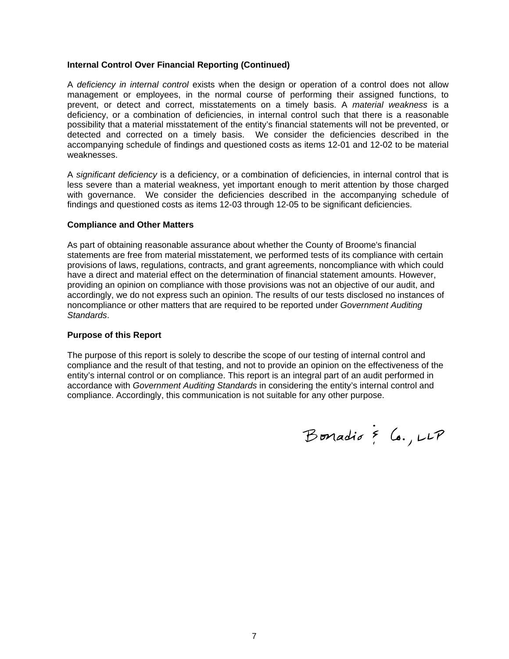#### **Internal Control Over Financial Reporting (Continued)**

A *deficiency in internal control* exists when the design or operation of a control does not allow management or employees, in the normal course of performing their assigned functions, to prevent, or detect and correct, misstatements on a timely basis. A *material weakness* is a deficiency, or a combination of deficiencies, in internal control such that there is a reasonable possibility that a material misstatement of the entity's financial statements will not be prevented, or detected and corrected on a timely basis. We consider the deficiencies described in the accompanying schedule of findings and questioned costs as items 12-01 and 12-02 to be material weaknesses.

A *significant deficiency* is a deficiency, or a combination of deficiencies, in internal control that is less severe than a material weakness, yet important enough to merit attention by those charged with governance. We consider the deficiencies described in the accompanying schedule of findings and questioned costs as items 12-03 through 12-05 to be significant deficiencies.

#### **Compliance and Other Matters**

As part of obtaining reasonable assurance about whether the County of Broome's financial statements are free from material misstatement, we performed tests of its compliance with certain provisions of laws, regulations, contracts, and grant agreements, noncompliance with which could have a direct and material effect on the determination of financial statement amounts. However, providing an opinion on compliance with those provisions was not an objective of our audit, and accordingly, we do not express such an opinion. The results of our tests disclosed no instances of noncompliance or other matters that are required to be reported under *Government Auditing Standards*.

## **Purpose of this Report**

The purpose of this report is solely to describe the scope of our testing of internal control and compliance and the result of that testing, and not to provide an opinion on the effectiveness of the entity's internal control or on compliance. This report is an integral part of an audit performed in accordance with *Government Auditing Standards* in considering the entity's internal control and compliance. Accordingly, this communication is not suitable for any other purpose.

Bonadio & Co., LLP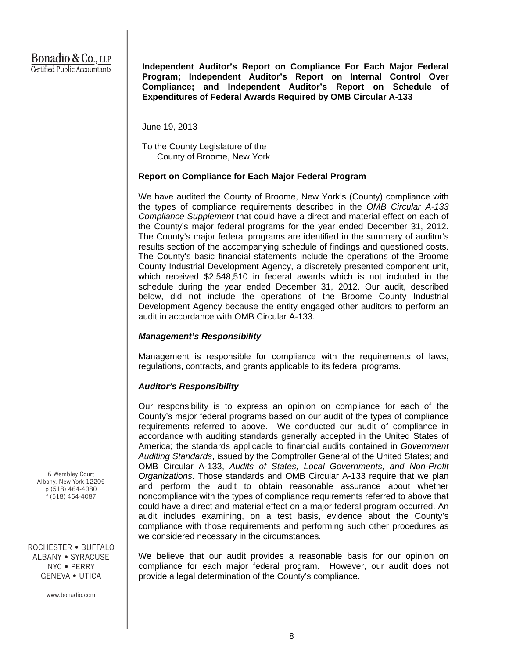Bonadio & Co., LLP Certified Public Accountants

**Independent Auditor's Report on Compliance For Each Major Federal Program; Independent Auditor's Report on Internal Control Over Compliance; and Independent Auditor's Report on Schedule of Expenditures of Federal Awards Required by OMB Circular A-133** 

June 19, 2013

To the County Legislature of the County of Broome, New York

## **Report on Compliance for Each Major Federal Program**

We have audited the County of Broome, New York's (County) compliance with the types of compliance requirements described in the *OMB Circular A-133 Compliance Supplement* that could have a direct and material effect on each of the County's major federal programs for the year ended December 31, 2012. The County's major federal programs are identified in the summary of auditor's results section of the accompanying schedule of findings and questioned costs. The County's basic financial statements include the operations of the Broome County Industrial Development Agency, a discretely presented component unit, which received \$2,548,510 in federal awards which is not included in the schedule during the year ended December 31, 2012. Our audit, described below, did not include the operations of the Broome County Industrial Development Agency because the entity engaged other auditors to perform an audit in accordance with OMB Circular A-133.

## *Management's Responsibility*

Management is responsible for compliance with the requirements of laws, regulations, contracts, and grants applicable to its federal programs.

## *Auditor's Responsibility*

Our responsibility is to express an opinion on compliance for each of the County's major federal programs based on our audit of the types of compliance requirements referred to above. We conducted our audit of compliance in accordance with auditing standards generally accepted in the United States of America; the standards applicable to financial audits contained in *Government Auditing Standards*, issued by the Comptroller General of the United States; and OMB Circular A-133, *Audits of States, Local Governments, and Non-Profit Organizations*. Those standards and OMB Circular A-133 require that we plan and perform the audit to obtain reasonable assurance about whether noncompliance with the types of compliance requirements referred to above that could have a direct and material effect on a major federal program occurred. An audit includes examining, on a test basis, evidence about the County's compliance with those requirements and performing such other procedures as we considered necessary in the circumstances.

We believe that our audit provides a reasonable basis for our opinion on compliance for each major federal program. However, our audit does not provide a legal determination of the County's compliance.

6 Wembley Court Albany, New York 12205 p (518) 464-4080 f (518) 464-4087

ROCHESTER • BUFFALO ALBANY • SYRACUSE NYC • PERRY GENEVA • UTICA

www.bonadio.com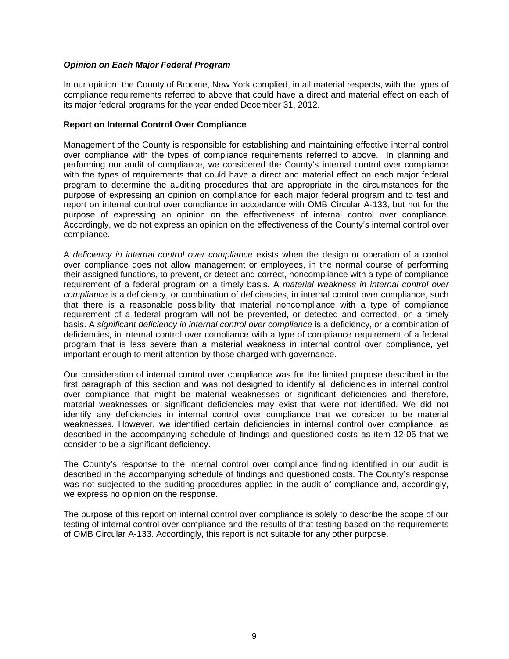### *Opinion on Each Major Federal Program*

In our opinion, the County of Broome, New York complied, in all material respects, with the types of compliance requirements referred to above that could have a direct and material effect on each of its major federal programs for the year ended December 31, 2012.

#### **Report on Internal Control Over Compliance**

Management of the County is responsible for establishing and maintaining effective internal control over compliance with the types of compliance requirements referred to above. In planning and performing our audit of compliance, we considered the County's internal control over compliance with the types of requirements that could have a direct and material effect on each major federal program to determine the auditing procedures that are appropriate in the circumstances for the purpose of expressing an opinion on compliance for each major federal program and to test and report on internal control over compliance in accordance with OMB Circular A-133, but not for the purpose of expressing an opinion on the effectiveness of internal control over compliance. Accordingly, we do not express an opinion on the effectiveness of the County's internal control over compliance.

A *deficiency in internal control over compliance* exists when the design or operation of a control over compliance does not allow management or employees, in the normal course of performing their assigned functions, to prevent, or detect and correct, noncompliance with a type of compliance requirement of a federal program on a timely basis. A *material weakness in internal control over compliance* is a deficiency, or combination of deficiencies, in internal control over compliance, such that there is a reasonable possibility that material noncompliance with a type of compliance requirement of a federal program will not be prevented, or detected and corrected, on a timely basis. A *significant deficiency in internal control over compliance* is a deficiency, or a combination of deficiencies, in internal control over compliance with a type of compliance requirement of a federal program that is less severe than a material weakness in internal control over compliance, yet important enough to merit attention by those charged with governance.

Our consideration of internal control over compliance was for the limited purpose described in the first paragraph of this section and was not designed to identify all deficiencies in internal control over compliance that might be material weaknesses or significant deficiencies and therefore, material weaknesses or significant deficiencies may exist that were not identified. We did not identify any deficiencies in internal control over compliance that we consider to be material weaknesses. However, we identified certain deficiencies in internal control over compliance, as described in the accompanying schedule of findings and questioned costs as item 12-06 that we consider to be a significant deficiency.

The County's response to the internal control over compliance finding identified in our audit is described in the accompanying schedule of findings and questioned costs. The County's response was not subjected to the auditing procedures applied in the audit of compliance and, accordingly, we express no opinion on the response.

The purpose of this report on internal control over compliance is solely to describe the scope of our testing of internal control over compliance and the results of that testing based on the requirements of OMB Circular A-133. Accordingly, this report is not suitable for any other purpose.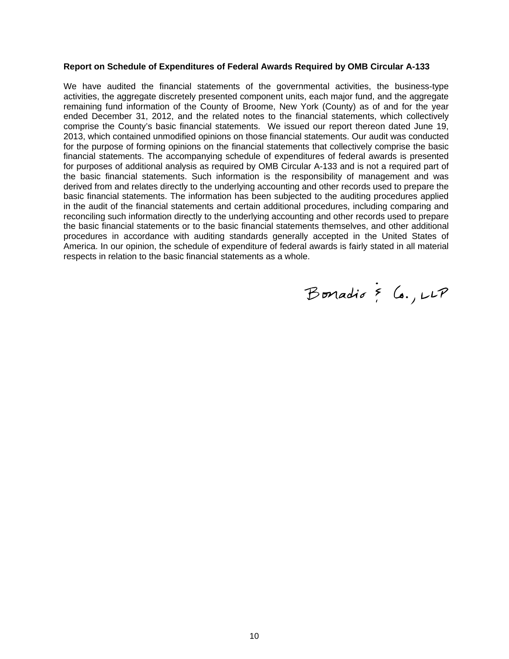#### **Report on Schedule of Expenditures of Federal Awards Required by OMB Circular A-133**

We have audited the financial statements of the governmental activities, the business-type activities, the aggregate discretely presented component units, each major fund, and the aggregate remaining fund information of the County of Broome, New York (County) as of and for the year ended December 31, 2012, and the related notes to the financial statements, which collectively comprise the County's basic financial statements. We issued our report thereon dated June 19, 2013, which contained unmodified opinions on those financial statements. Our audit was conducted for the purpose of forming opinions on the financial statements that collectively comprise the basic financial statements. The accompanying schedule of expenditures of federal awards is presented for purposes of additional analysis as required by OMB Circular A-133 and is not a required part of the basic financial statements. Such information is the responsibility of management and was derived from and relates directly to the underlying accounting and other records used to prepare the basic financial statements. The information has been subjected to the auditing procedures applied in the audit of the financial statements and certain additional procedures, including comparing and reconciling such information directly to the underlying accounting and other records used to prepare the basic financial statements or to the basic financial statements themselves, and other additional procedures in accordance with auditing standards generally accepted in the United States of America. In our opinion, the schedule of expenditure of federal awards is fairly stated in all material respects in relation to the basic financial statements as a whole.

Bonadio & Co., LLP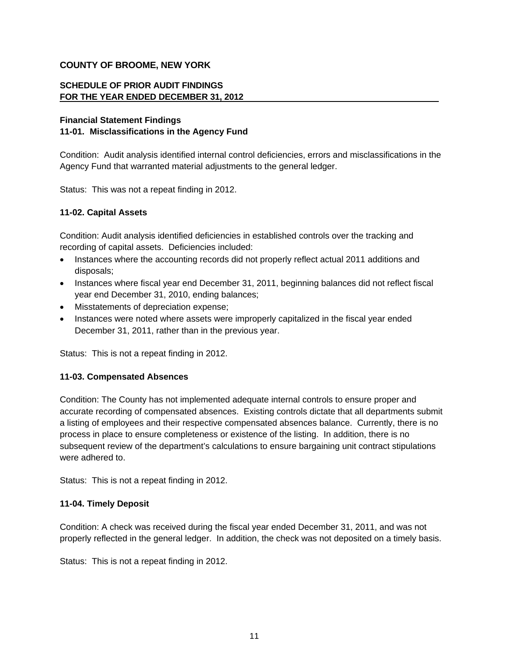## **SCHEDULE OF PRIOR AUDIT FINDINGS FOR THE YEAR ENDED DECEMBER 31, 2012**

## **Financial Statement Findings**

## **11-01. Misclassifications in the Agency Fund**

Condition: Audit analysis identified internal control deficiencies, errors and misclassifications in the Agency Fund that warranted material adjustments to the general ledger.

Status: This was not a repeat finding in 2012.

## **11-02. Capital Assets**

Condition: Audit analysis identified deficiencies in established controls over the tracking and recording of capital assets. Deficiencies included:

- Instances where the accounting records did not properly reflect actual 2011 additions and disposals;
- Instances where fiscal year end December 31, 2011, beginning balances did not reflect fiscal year end December 31, 2010, ending balances;
- Misstatements of depreciation expense;
- Instances were noted where assets were improperly capitalized in the fiscal year ended December 31, 2011, rather than in the previous year.

Status: This is not a repeat finding in 2012.

## **11-03. Compensated Absences**

Condition: The County has not implemented adequate internal controls to ensure proper and accurate recording of compensated absences. Existing controls dictate that all departments submit a listing of employees and their respective compensated absences balance. Currently, there is no process in place to ensure completeness or existence of the listing. In addition, there is no subsequent review of the department's calculations to ensure bargaining unit contract stipulations were adhered to.

Status: This is not a repeat finding in 2012.

## **11-04. Timely Deposit**

Condition: A check was received during the fiscal year ended December 31, 2011, and was not properly reflected in the general ledger. In addition, the check was not deposited on a timely basis.

Status: This is not a repeat finding in 2012.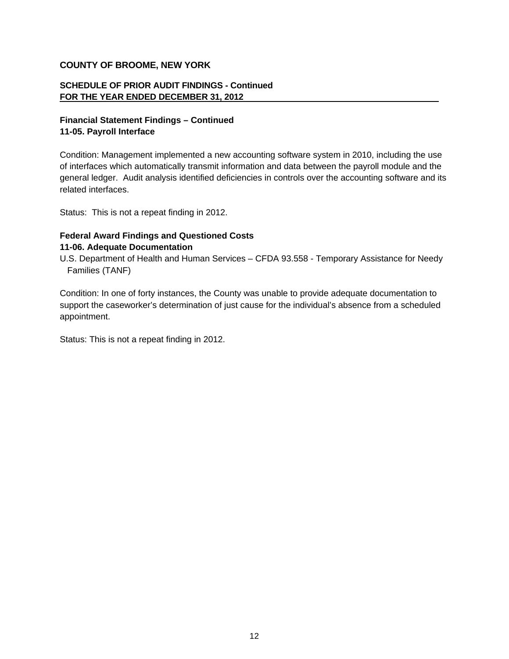## **SCHEDULE OF PRIOR AUDIT FINDINGS - Continued FOR THE YEAR ENDED DECEMBER 31, 2012**

## **Financial Statement Findings – Continued 11-05. Payroll Interface**

Condition: Management implemented a new accounting software system in 2010, including the use of interfaces which automatically transmit information and data between the payroll module and the general ledger. Audit analysis identified deficiencies in controls over the accounting software and its related interfaces.

Status: This is not a repeat finding in 2012.

## **Federal Award Findings and Questioned Costs 11-06. Adequate Documentation**

U.S. Department of Health and Human Services – CFDA 93.558 - Temporary Assistance for Needy Families (TANF)

Condition: In one of forty instances, the County was unable to provide adequate documentation to support the caseworker's determination of just cause for the individual's absence from a scheduled appointment.

Status: This is not a repeat finding in 2012.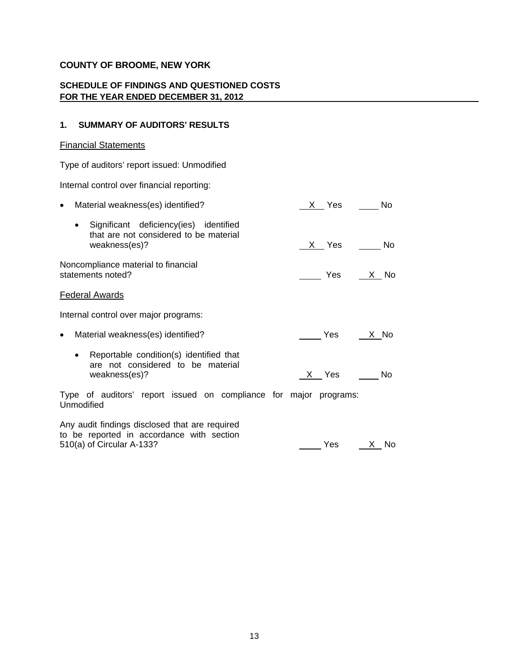## **SCHEDULE OF FINDINGS AND QUESTIONED COSTS FOR THE YEAR ENDED DECEMBER 31, 2012**

## **1. SUMMARY OF AUDITORS' RESULTS**

## Financial Statements

Type of auditors' report issued: Unmodified

Internal control over financial reporting:

| Material weakness(es) identified?<br>$\bullet$                                                             | <u>X</u> Yes ______ No      |
|------------------------------------------------------------------------------------------------------------|-----------------------------|
| • Significant deficiency(ies) identified<br>that are not considered to be material<br>weakness(es)?        |                             |
| Noncompliance material to financial<br>statements noted?                                                   |                             |
| <b>Federal Awards</b>                                                                                      |                             |
| Internal control over major programs:                                                                      |                             |
| Material weakness(es) identified?<br>$\bullet$                                                             | _____ Yes ___ <u>_X</u> _No |
| Reportable condition(s) identified that<br>$\bullet$<br>are not considered to be material<br>weakness(es)? | <u>X</u> Yes ______ No      |
| Type of auditors' report issued on compliance for major programs:<br>Unmodified                            |                             |
| Any audit findings disclosed that are required                                                             |                             |

to be reported in accordance with section 510(a) of Circular A-133?  $\overline{X}$  No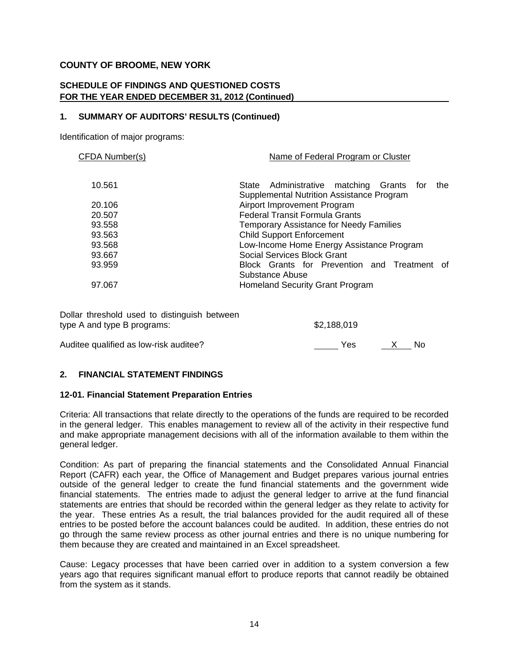## **SCHEDULE OF FINDINGS AND QUESTIONED COSTS FOR THE YEAR ENDED DECEMBER 31, 2012 (Continued)**

## **1. SUMMARY OF AUDITORS' RESULTS (Continued)**

Identification of major programs:

| CFDA Number(s) | Name of Federal Program or Cluster                                                                 |
|----------------|----------------------------------------------------------------------------------------------------|
| 10.561         | Administrative matching Grants<br>State<br>the<br>tor<br>Supplemental Nutrition Assistance Program |
| 20.106         | Airport Improvement Program                                                                        |
| 20.507         | <b>Federal Transit Formula Grants</b>                                                              |
| 93.558         | <b>Temporary Assistance for Needy Families</b>                                                     |
| 93.563         | <b>Child Support Enforcement</b>                                                                   |
| 93.568         | Low-Income Home Energy Assistance Program                                                          |
| 93.667         | Social Services Block Grant                                                                        |
| 93.959         | Block Grants for Prevention and Treatment of<br>Substance Abuse                                    |
| 97.067         | <b>Homeland Security Grant Program</b>                                                             |

| Dollar threshold used to distinguish between<br>type A and type B programs: | \$2,188,019 |     |  |
|-----------------------------------------------------------------------------|-------------|-----|--|
| Auditee qualified as low-risk auditee?                                      | Yes         | No. |  |

## **2. FINANCIAL STATEMENT FINDINGS**

## **12-01. Financial Statement Preparation Entries**

Criteria: All transactions that relate directly to the operations of the funds are required to be recorded in the general ledger. This enables management to review all of the activity in their respective fund and make appropriate management decisions with all of the information available to them within the general ledger.

Condition: As part of preparing the financial statements and the Consolidated Annual Financial Report (CAFR) each year, the Office of Management and Budget prepares various journal entries outside of the general ledger to create the fund financial statements and the government wide financial statements. The entries made to adjust the general ledger to arrive at the fund financial statements are entries that should be recorded within the general ledger as they relate to activity for the year. These entries As a result, the trial balances provided for the audit required all of these entries to be posted before the account balances could be audited. In addition, these entries do not go through the same review process as other journal entries and there is no unique numbering for them because they are created and maintained in an Excel spreadsheet.

Cause: Legacy processes that have been carried over in addition to a system conversion a few years ago that requires significant manual effort to produce reports that cannot readily be obtained from the system as it stands.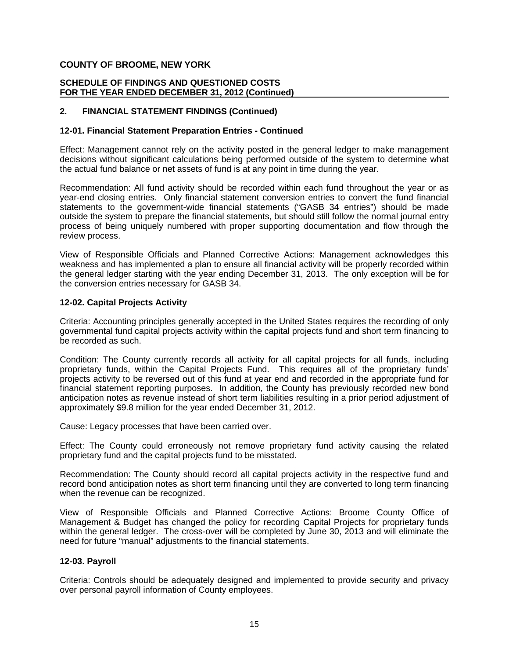#### **SCHEDULE OF FINDINGS AND QUESTIONED COSTS FOR THE YEAR ENDED DECEMBER 31, 2012 (Continued)**

#### **2. FINANCIAL STATEMENT FINDINGS (Continued)**

#### **12-01. Financial Statement Preparation Entries - Continued**

Effect: Management cannot rely on the activity posted in the general ledger to make management decisions without significant calculations being performed outside of the system to determine what the actual fund balance or net assets of fund is at any point in time during the year.

Recommendation: All fund activity should be recorded within each fund throughout the year or as year-end closing entries. Only financial statement conversion entries to convert the fund financial statements to the government-wide financial statements ("GASB 34 entries") should be made outside the system to prepare the financial statements, but should still follow the normal journal entry process of being uniquely numbered with proper supporting documentation and flow through the review process.

View of Responsible Officials and Planned Corrective Actions: Management acknowledges this weakness and has implemented a plan to ensure all financial activity will be properly recorded within the general ledger starting with the year ending December 31, 2013. The only exception will be for the conversion entries necessary for GASB 34.

#### **12-02. Capital Projects Activity**

Criteria: Accounting principles generally accepted in the United States requires the recording of only governmental fund capital projects activity within the capital projects fund and short term financing to be recorded as such.

Condition: The County currently records all activity for all capital projects for all funds, including proprietary funds, within the Capital Projects Fund. This requires all of the proprietary funds' projects activity to be reversed out of this fund at year end and recorded in the appropriate fund for financial statement reporting purposes. In addition, the County has previously recorded new bond anticipation notes as revenue instead of short term liabilities resulting in a prior period adjustment of approximately \$9.8 million for the year ended December 31, 2012.

Cause: Legacy processes that have been carried over.

Effect: The County could erroneously not remove proprietary fund activity causing the related proprietary fund and the capital projects fund to be misstated.

Recommendation: The County should record all capital projects activity in the respective fund and record bond anticipation notes as short term financing until they are converted to long term financing when the revenue can be recognized.

View of Responsible Officials and Planned Corrective Actions: Broome County Office of Management & Budget has changed the policy for recording Capital Projects for proprietary funds within the general ledger. The cross-over will be completed by June 30, 2013 and will eliminate the need for future "manual" adjustments to the financial statements.

## **12-03. Payroll**

Criteria: Controls should be adequately designed and implemented to provide security and privacy over personal payroll information of County employees.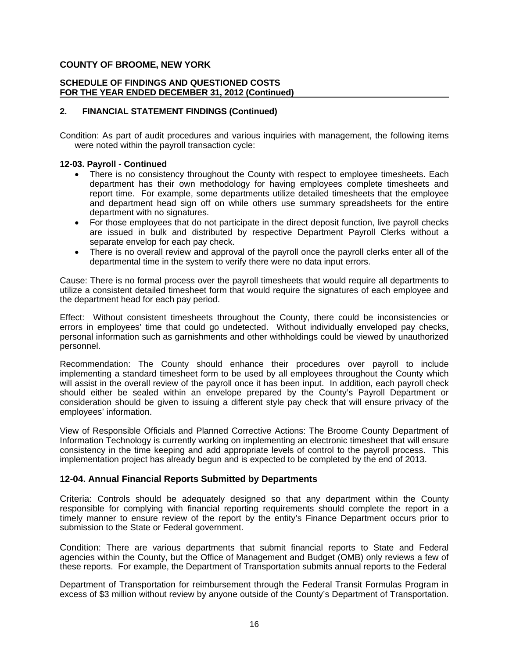#### **SCHEDULE OF FINDINGS AND QUESTIONED COSTS FOR THE YEAR ENDED DECEMBER 31, 2012 (Continued)**

#### **2. FINANCIAL STATEMENT FINDINGS (Continued)**

Condition: As part of audit procedures and various inquiries with management, the following items were noted within the payroll transaction cycle:

#### **12-03. Payroll - Continued**

- There is no consistency throughout the County with respect to employee timesheets. Each department has their own methodology for having employees complete timesheets and report time. For example, some departments utilize detailed timesheets that the employee and department head sign off on while others use summary spreadsheets for the entire department with no signatures.
- For those employees that do not participate in the direct deposit function, live payroll checks are issued in bulk and distributed by respective Department Payroll Clerks without a separate envelop for each pay check.
- There is no overall review and approval of the payroll once the payroll clerks enter all of the departmental time in the system to verify there were no data input errors.

Cause: There is no formal process over the payroll timesheets that would require all departments to utilize a consistent detailed timesheet form that would require the signatures of each employee and the department head for each pay period.

Effect: Without consistent timesheets throughout the County, there could be inconsistencies or errors in employees' time that could go undetected. Without individually enveloped pay checks, personal information such as garnishments and other withholdings could be viewed by unauthorized personnel.

Recommendation: The County should enhance their procedures over payroll to include implementing a standard timesheet form to be used by all employees throughout the County which will assist in the overall review of the payroll once it has been input. In addition, each payroll check should either be sealed within an envelope prepared by the County's Payroll Department or consideration should be given to issuing a different style pay check that will ensure privacy of the employees' information.

View of Responsible Officials and Planned Corrective Actions: The Broome County Department of Information Technology is currently working on implementing an electronic timesheet that will ensure consistency in the time keeping and add appropriate levels of control to the payroll process. This implementation project has already begun and is expected to be completed by the end of 2013.

## **12-04. Annual Financial Reports Submitted by Departments**

Criteria: Controls should be adequately designed so that any department within the County responsible for complying with financial reporting requirements should complete the report in a timely manner to ensure review of the report by the entity's Finance Department occurs prior to submission to the State or Federal government.

Condition: There are various departments that submit financial reports to State and Federal agencies within the County, but the Office of Management and Budget (OMB) only reviews a few of these reports. For example, the Department of Transportation submits annual reports to the Federal

Department of Transportation for reimbursement through the Federal Transit Formulas Program in excess of \$3 million without review by anyone outside of the County's Department of Transportation.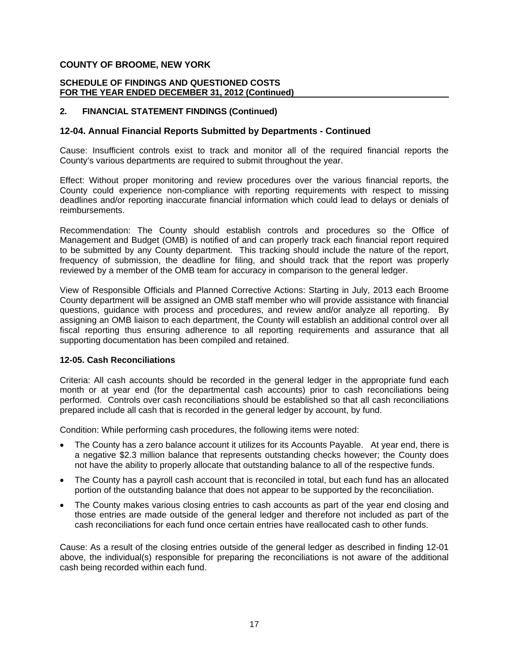#### **SCHEDULE OF FINDINGS AND QUESTIONED COSTS FOR THE YEAR ENDED DECEMBER 31, 2012 (Continued)**

## **2. FINANCIAL STATEMENT FINDINGS (Continued)**

#### **12-04. Annual Financial Reports Submitted by Departments - Continued**

Cause: Insufficient controls exist to track and monitor all of the required financial reports the County's various departments are required to submit throughout the year.

Effect: Without proper monitoring and review procedures over the various financial reports, the County could experience non-compliance with reporting requirements with respect to missing deadlines and/or reporting inaccurate financial information which could lead to delays or denials of reimbursements.

Recommendation: The County should establish controls and procedures so the Office of Management and Budget (OMB) is notified of and can properly track each financial report required to be submitted by any County department. This tracking should include the nature of the report, frequency of submission, the deadline for filing, and should track that the report was properly reviewed by a member of the OMB team for accuracy in comparison to the general ledger.

View of Responsible Officials and Planned Corrective Actions: Starting in July, 2013 each Broome County department will be assigned an OMB staff member who will provide assistance with financial questions, guidance with process and procedures, and review and/or analyze all reporting. By assigning an OMB liaison to each department, the County will establish an additional control over all fiscal reporting thus ensuring adherence to all reporting requirements and assurance that all supporting documentation has been compiled and retained.

#### **12-05. Cash Reconciliations**

Criteria: All cash accounts should be recorded in the general ledger in the appropriate fund each month or at year end (for the departmental cash accounts) prior to cash reconciliations being performed. Controls over cash reconciliations should be established so that all cash reconciliations prepared include all cash that is recorded in the general ledger by account, by fund.

Condition: While performing cash procedures, the following items were noted:

- The County has a zero balance account it utilizes for its Accounts Payable. At year end, there is a negative \$2.3 million balance that represents outstanding checks however; the County does not have the ability to properly allocate that outstanding balance to all of the respective funds.
- The County has a payroll cash account that is reconciled in total, but each fund has an allocated portion of the outstanding balance that does not appear to be supported by the reconciliation.
- The County makes various closing entries to cash accounts as part of the year end closing and those entries are made outside of the general ledger and therefore not included as part of the cash reconciliations for each fund once certain entries have reallocated cash to other funds.

Cause: As a result of the closing entries outside of the general ledger as described in finding 12-01 above, the individual(s) responsible for preparing the reconciliations is not aware of the additional cash being recorded within each fund.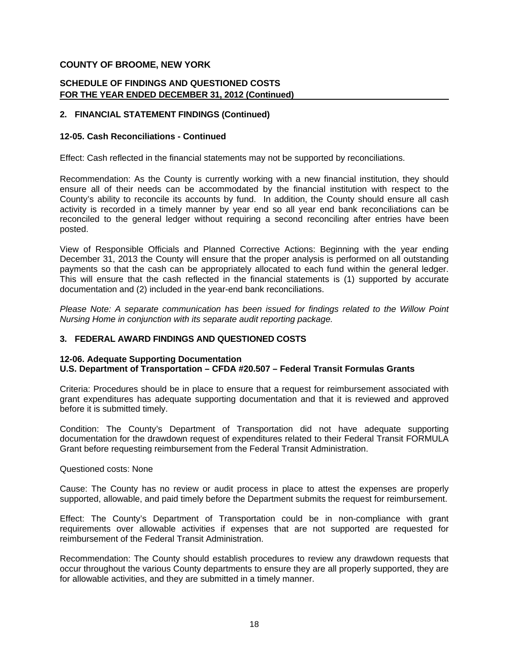## **SCHEDULE OF FINDINGS AND QUESTIONED COSTS FOR THE YEAR ENDED DECEMBER 31, 2012 (Continued)**

## **2. FINANCIAL STATEMENT FINDINGS (Continued)**

#### **12-05. Cash Reconciliations - Continued**

Effect: Cash reflected in the financial statements may not be supported by reconciliations.

Recommendation: As the County is currently working with a new financial institution, they should ensure all of their needs can be accommodated by the financial institution with respect to the County's ability to reconcile its accounts by fund. In addition, the County should ensure all cash activity is recorded in a timely manner by year end so all year end bank reconciliations can be reconciled to the general ledger without requiring a second reconciling after entries have been posted.

View of Responsible Officials and Planned Corrective Actions: Beginning with the year ending December 31, 2013 the County will ensure that the proper analysis is performed on all outstanding payments so that the cash can be appropriately allocated to each fund within the general ledger. This will ensure that the cash reflected in the financial statements is (1) supported by accurate documentation and (2) included in the year-end bank reconciliations.

*Please Note: A separate communication has been issued for findings related to the Willow Point Nursing Home in conjunction with its separate audit reporting package.* 

## **3. FEDERAL AWARD FINDINGS AND QUESTIONED COSTS**

#### **12-06. Adequate Supporting Documentation**

## **U.S. Department of Transportation – CFDA #20.507 – Federal Transit Formulas Grants**

Criteria: Procedures should be in place to ensure that a request for reimbursement associated with grant expenditures has adequate supporting documentation and that it is reviewed and approved before it is submitted timely.

Condition: The County's Department of Transportation did not have adequate supporting documentation for the drawdown request of expenditures related to their Federal Transit FORMULA Grant before requesting reimbursement from the Federal Transit Administration.

#### Questioned costs: None

Cause: The County has no review or audit process in place to attest the expenses are properly supported, allowable, and paid timely before the Department submits the request for reimbursement.

Effect: The County's Department of Transportation could be in non-compliance with grant requirements over allowable activities if expenses that are not supported are requested for reimbursement of the Federal Transit Administration.

Recommendation: The County should establish procedures to review any drawdown requests that occur throughout the various County departments to ensure they are all properly supported, they are for allowable activities, and they are submitted in a timely manner.